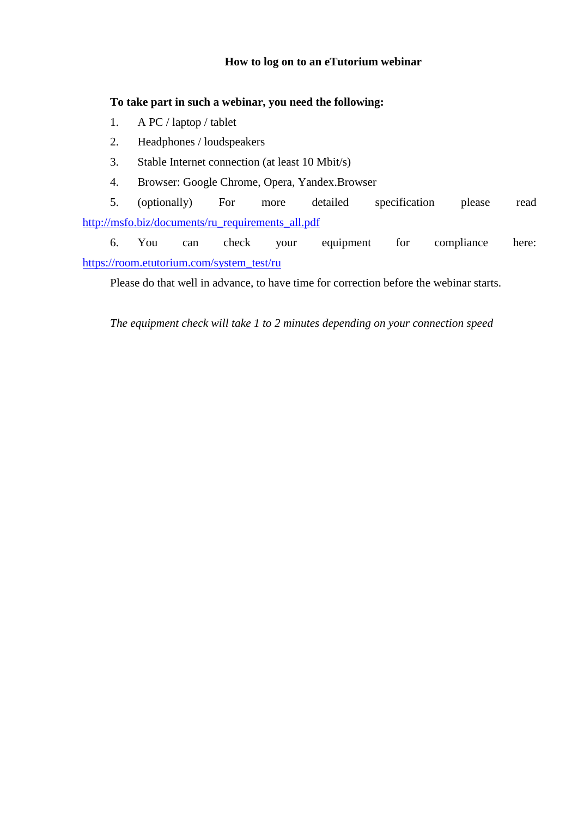## **How to log on to an eTutorium webinar**

## **To take part in such a webinar, you need the following:**

- 1. A PC / laptop / tablet
- 2. Headphones / loudspeakers
- 3. Stable Internet connection (at least 10 Mbit/s)
- 4. Browser: Google Chrome, Opera, Yandex.Browser

5. (optionally) For more detailed specification please read [http://msfo.biz/documents/ru\\_requirements\\_all.pdf](http://msfo.biz/documents/ru_requirements_all.pdf)

6. You can check your equipment for compliance here: [https://room.etutorium.com/system\\_test/ru](https://room.etutorium.com/system_test/ru)

Please do that well in advance, to have time for correction before the webinar starts.

*The equipment check will take 1 to 2 minutes depending on your connection speed*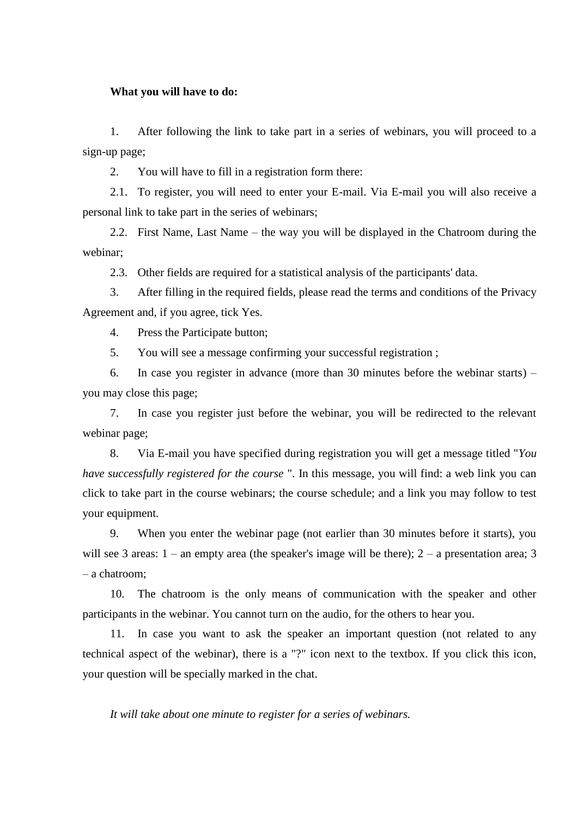## **What you will have to do:**

1. After following the link to take part in a series of webinars, you will proceed to a sign-up page;

2. You will have to fill in a registration form there:

2.1. To register, you will need to enter your E-mail. Via E-mail you will also receive a personal link to take part in the series of webinars;

2.2. First Name, Last Name – the way you will be displayed in the Chatroom during the webinar;

2.3. Other fields are required for a statistical analysis of the participants' data.

3. After filling in the required fields, please read the terms and conditions of the Privacy Agreement and, if you agree, tick Yes.

4. Press the Participate button;

5. You will see a message confirming your successful registration ;

6. In case you register in advance (more than 30 minutes before the webinar starts) – you may close this page;

7. In case you register just before the webinar, you will be redirected to the relevant webinar page;

8. Via E-mail you have specified during registration you will get a message titled "*You have successfully registered for the course* ". In this message, you will find: a web link you can click to take part in the course webinars; the course schedule; and a link you may follow to test your equipment.

9. When you enter the webinar page (not earlier than 30 minutes before it starts), you will see 3 areas:  $1 -$ an empty area (the speaker's image will be there);  $2 -$ a presentation area; 3 – a chatroom;

10. The chatroom is the only means of communication with the speaker and other participants in the webinar. You cannot turn on the audio, for the others to hear you.

11. In case you want to ask the speaker an important question (not related to any technical aspect of the webinar), there is a "?" icon next to the textbox. If you click this icon, your question will be specially marked in the chat.

*It will take about one minute to register for a series of webinars.*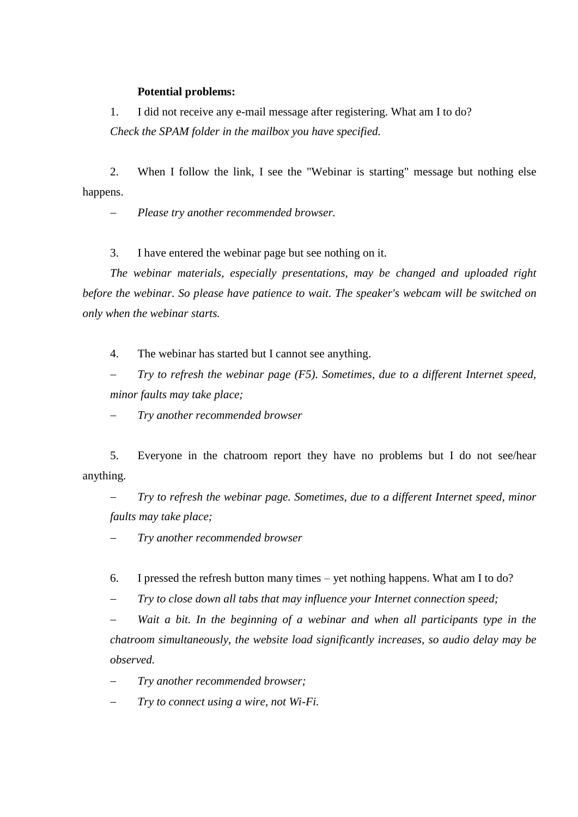## **Potential problems:**

1. I did not receive any e-mail message after registering. What am I to do? *Check the SPAM folder in the mailbox you have specified.*

2. When I follow the link, I see the "Webinar is starting" message but nothing else happens.

*Please try another recommended browser.*

3. I have entered the webinar page but see nothing on it.

*The webinar materials, especially presentations, may be changed and uploaded right before the webinar. So please have patience to wait. The speaker's webcam will be switched on only when the webinar starts.*

4. The webinar has started but I cannot see anything.

 *Try to refresh the webinar page (F5). Sometimes, due to a different Internet speed, minor faults may take place;*

*Try another recommended browser*

5. Everyone in the chatroom report they have no problems but I do not see/hear anything.

 *Try to refresh the webinar page. Sometimes, due to a different Internet speed, minor faults may take place;*

*Try another recommended browser*

6. I pressed the refresh button many times – yet nothing happens. What am I to do?

*Try to close down all tabs that may influence your Internet connection speed;*

Wait a bit. In the beginning of a webinar and when all participants type in the *chatroom simultaneously, the website load significantly increases, so audio delay may be observed.*

*Try another recommended browser;*

*Try to connect using a wire, not Wi-Fi.*